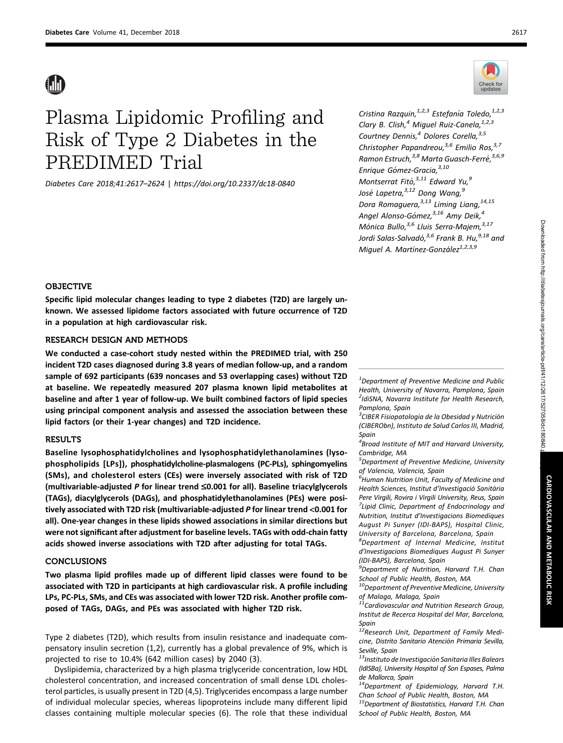# Plasma Lipidomic Profiling and Risk of Type 2 Diabetes in the PREDIMED Trial

Diabetes Care 2018;41:2617–2624 | <https://doi.org/10.2337/dc18-0840>



Cristina Razquin,  $^{1,2,3}$  Estefanía Toledo,  $^{1,2,3}$ Clary B. Clish,<sup>4</sup> Miguel Ruiz-Canela,  $1,2,3$ Courtney Dennis,<sup>4</sup> Dolores Corella, 3,5 Christopher Papandreou,<sup>3,6</sup> Emilio Ros,<sup>3,7</sup> Ramon Estruch,  $3,8$  Marta Guasch-Ferré,  $3,6,9$ Enrique Gómez-Gracia, 3,10 Montserrat Fitó,  $3,11$  Edward Yu,  $9$ José Lapetra, $3,12$  Dong Wang, $9$ Dora Romaguera,<sup>3,13</sup> Liming Liang,<sup>14,15</sup> Angel Alonso-Gómez, <sup>3,16</sup> Amy Deik, <sup>4</sup> Mónica Bullo, <sup>3,6</sup> Lluis Serra-Majem, <sup>3,17</sup> Jordi Salas-Salvadó, <sup>3,6</sup> Frank B. Hu, <sup>9,18</sup> and Miquel A. Martínez-González<sup>1,2,3,9</sup>

# OBJECTIVE

Specific lipid molecular changes leading to type 2 diabetes (T2D) are largely unknown. We assessed lipidome factors associated with future occurrence of T2D in a population at high cardiovascular risk.

# RESEARCH DESIGN AND METHODS

We conducted a case-cohort study nested within the PREDIMED trial, with 250 incident T2D cases diagnosed during 3.8 years of median follow-up, and a random sample of 692 participants (639 noncases and 53 overlapping cases) without T2D at baseline. We repeatedly measured 207 plasma known lipid metabolites at baseline and after 1 year of follow-up. We built combined factors of lipid species using principal component analysis and assessed the association between these lipid factors (or their 1-year changes) and T2D incidence.

## RESULTS

Baseline lysophosphatidylcholines and lysophosphatidylethanolamines (lysophospholipids [LPs]), phosphatidylcholine-plasmalogens (PC-PLs), sphingomyelins (SMs), and cholesterol esters (CEs) were inversely associated with risk of T2D (multivariable-adjusted P for linear trend  $\leq 0.001$  for all). Baseline triacylglycerols (TAGs), diacylglycerols (DAGs), and phosphatidylethanolamines (PEs) were positively associated with T2D risk (multivariable-adjusted P for linear trend <0.001 for all). One-year changes in these lipids showed associations in similar directions but were not significant after adjustment for baseline levels. TAGs with odd-chain fatty acids showed inverse associations with T2D after adjusting for total TAGs.

# CONCLUSIONS

Two plasma lipid profiles made up of different lipid classes were found to be associated with T2D in participants at high cardiovascular risk. A profile including LPs, PC-PLs, SMs, and CEs was associated with lower T2D risk. Another profile composed of TAGs, DAGs, and PEs was associated with higher T2D risk.

Type 2 diabetes (T2D), which results from insulin resistance and inadequate compensatory insulin secretion (1,2), currently has a global prevalence of 9%, which is projected to rise to 10.4% (642 million cases) by 2040 (3).

Dyslipidemia, characterized by a high plasma triglyceride concentration, low HDL cholesterol concentration, and increased concentration of small dense LDL cholesterol particles, is usually present in T2D (4,5). Triglycerides encompass a large number of individual molecular species, whereas lipoproteins include many different lipid classes containing multiple molecular species (6). The role that these individual

 $^{\text{1}}$ Department of Preventive Medicine and Public Health, University of Navarra, Pamplona, Spain <sup>2</sup>IdiSNA, Navarra Institute for Health Research, Pamplona, Spain

 $\mathrm{^{3}C}$ IBER Fisiopatología de la Obesidad y Nutrición (CIBERObn), Instituto de Salud Carlos III, Madrid, Spain

 $4$ Broad Institute of MIT and Harvard University, Cambridge, MA

5 Department of Preventive Medicine, University of Valencia, Valencia, Spain

 $\stackrel{\scriptscriptstyle \sf 6}{\scriptscriptstyle \sf 6}$ Human Nutrition Unit, Faculty of Medicine and Health Sciences, Institut d'Investiaació Sanitària Pere Virgili, Rovira i Virgili University, Reus, Spain <sup>7</sup> Lipid Clinic, Department of Endocrinology and Nutrition, Institut d'Investigacions Biomediques August Pi Sunyer (IDI-BAPS), Hospital Clinic, University of Barcelona, Barcelona, Spain

8 Department of Internal Medicine, Institut d'Investigacions Biomediques August Pi Sunyer (IDI-BAPS), Barcelona, Spain

<sup>9</sup>Department of Nutrition, Harvard T.H. Chan School of Public Health, Boston, MA

 $10$ Department of Preventive Medicine, University of Malaga, Malaga, Spain

 $11$ Cardiovascular and Nutrition Research Group, Institut de Recerca Hospital del Mar, Barcelona, Spain<br><sup>12</sup>Research Unit, Department of Family Medi-

cine, Distrito Sanitario Atención Primaria Sevilla, Seville, Spain

13 Instituto de Investigación Sanitaria Illes Balears (IdISBa), University Hospital of Son Espases, Palma de Mallorca, Spain

<sup>14</sup>Department of Epidemiology, Harvard T.H. Chan School of Public Health, Boston, MA <sup>15</sup>Department of Biostatistics, Harvard T.H. Chan

School of Public Health, Boston, MA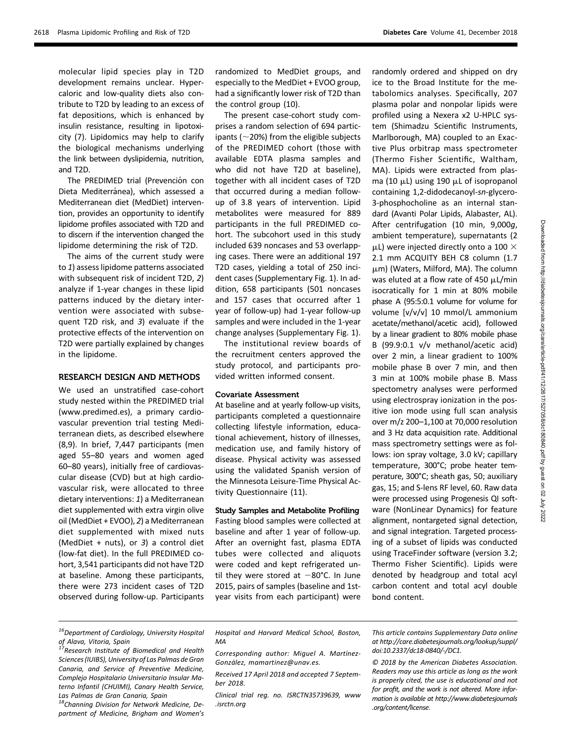molecular lipid species play in T2D development remains unclear. Hypercaloric and low-quality diets also contribute to T2D by leading to an excess of fat depositions, which is enhanced by insulin resistance, resulting in lipotoxicity (7). Lipidomics may help to clarify the biological mechanisms underlying the link between dyslipidemia, nutrition, and T2D.

The PREDIMED trial (Prevención con Dieta Mediterránea), which assessed a Mediterranean diet (MedDiet) intervention, provides an opportunity to identify lipidome profiles associated with T2D and to discern if the intervention changed the lipidome determining the risk of T2D.

The aims of the current study were to 1) assess lipidome patterns associated with subsequent risk of incident T2D, 2) analyze if 1-year changes in these lipid patterns induced by the dietary intervention were associated with subsequent T2D risk, and 3) evaluate if the protective effects of the intervention on T2D were partially explained by changes in the lipidome.

# RESEARCH DESIGN AND METHODS

We used an unstratified case-cohort study nested within the PREDIMED trial ([www.predimed.es\)](http://www.predimed.es), a primary cardiovascular prevention trial testing Mediterranean diets, as described elsewhere (8,9). In brief, 7,447 participants (men aged 55–80 years and women aged 60–80 years), initially free of cardiovascular disease (CVD) but at high cardiovascular risk, were allocated to three dietary interventions: 1) a Mediterranean diet supplemented with extra virgin olive oil (MedDiet + EVOO), 2) a Mediterranean diet supplemented with mixed nuts (MedDiet + nuts), or 3) a control diet (low-fat diet). In the full PREDIMED cohort, 3,541 participants did not have T2D at baseline. Among these participants, there were 273 incident cases of T2D observed during follow-up. Participants

randomized to MedDiet groups, and especially to the MedDiet + EVOO group, had a significantly lower risk of T2D than the control group (10).

The present case-cohort study comprises a random selection of 694 participants ( $\sim$ 20%) from the eligible subjects of the PREDIMED cohort (those with available EDTA plasma samples and who did not have T2D at baseline), together with all incident cases of T2D that occurred during a median followup of 3.8 years of intervention. Lipid metabolites were measured for 889 participants in the full PREDIMED cohort. The subcohort used in this study included 639 noncases and 53 overlapping cases. There were an additional 197 T2D cases, yielding a total of 250 incident cases ([Supplementary Fig. 1\)](http://care.diabetesjournals.org/lookup/suppl/doi:10.2337/dc18-0840/-/DC1). In addition, 658 participants (501 noncases and 157 cases that occurred after 1 year of follow-up) had 1-year follow-up samples and were included in the 1-year change analyses [\(Supplementary Fig. 1](http://care.diabetesjournals.org/lookup/suppl/doi:10.2337/dc18-0840/-/DC1)).

The institutional review boards of the recruitment centers approved the study protocol, and participants provided written informed consent.

#### Covariate Assessment

At baseline and at yearly follow-up visits, participants completed a questionnaire collecting lifestyle information, educational achievement, history of illnesses, medication use, and family history of disease. Physical activity was assessed using the validated Spanish version of the Minnesota Leisure-Time Physical Activity Questionnaire (11).

#### Study Samples and Metabolite Profiling

Fasting blood samples were collected at baseline and after 1 year of follow-up. After an overnight fast, plasma EDTA tubes were collected and aliquots were coded and kept refrigerated until they were stored at  $-80^{\circ}$ C. In June 2015, pairs of samples (baseline and 1styear visits from each participant) were randomly ordered and shipped on dry ice to the Broad Institute for the metabolomics analyses. Specifically, 207 plasma polar and nonpolar lipids were profiled using a Nexera x2 U-HPLC system (Shimadzu Scientific Instruments, Marlborough, MA) coupled to an Exactive Plus orbitrap mass spectrometer (Thermo Fisher Scientific, Waltham, MA). Lipids were extracted from plasma (10  $\mu$ L) using 190  $\mu$ L of isopropanol containing 1,2-didodecanoyl-sn-glycero-3-phosphocholine as an internal standard (Avanti Polar Lipids, Alabaster, AL). After centrifugation (10 min, 9,000g, ambient temperature), supernatants (2  $\mu$ L) were injected directly onto a 100  $\times$ 2.1 mm ACQUITY BEH C8 column (1.7  $\mu$ m) (Waters, Milford, MA). The column was eluted at a flow rate of 450  $\mu$ L/min isocratically for 1 min at 80% mobile phase A (95:5:0.1 volume for volume for volume [v/v/v] 10 mmol/L ammonium acetate/methanol/acetic acid), followed by a linear gradient to 80% mobile phase B (99.9:0.1 v/v methanol/acetic acid) over 2 min, a linear gradient to 100% mobile phase B over 7 min, and then 3 min at 100% mobile phase B. Mass spectometry analyses were performed using electrospray ionization in the positive ion mode using full scan analysis over m/z 200–1,100 at 70,000 resolution and 3 Hz data acquisition rate. Additional mass spectrometry settings were as follows: ion spray voltage, 3.0 kV; capillary temperature, 300°C; probe heater temperature, 300°C; sheath gas, 50; auxiliary gas, 15; and S-lens RF level, 60. Raw data were processed using Progenesis QI software (NonLinear Dynamics) for feature alignment, nontargeted signal detection, and signal integration. Targeted processing of a subset of lipids was conducted using TraceFinder software (version 3.2; Thermo Fisher Scientific). Lipids were denoted by headgroup and total acyl carbon content and total acyl double bond content.

<sup>17</sup>Research Institute of Biomedical and Health Sciences (IUIBS), University of Las Palmas de Gran Canaria, and Service of Preventive Medicine, Complejo Hospitalario Universitario Insular Materno Infantil (CHUIMI), Canary Health Service, Las Palmas de Gran Canaria, Spain

18Channing Division for Network Medicine, Department of Medicine, Brigham and Women's Hospital and Harvard Medical School, Boston, MA

Corresponding author: Miguel A. MartínezGonzález, [mamartinez@unav.es](mailto:mamartinez@unav.es).

Received 17 April 2018 and accepted 7 September 2018.

Clinical trial reg. no. ISRCTN35739639, [www](http://www.isrctn.org) [.isrctn.org](http://www.isrctn.org)

This article contains Supplementary Data online at [http://care.diabetesjournals.org/lookup/suppl/](http://care.diabetesjournals.org/lookup/suppl/doi:10.2337/dc18-0840/-/DC1) [doi:10.2337/dc18-0840/-/DC1](http://care.diabetesjournals.org/lookup/suppl/doi:10.2337/dc18-0840/-/DC1).

© 2018 by the American Diabetes Association. Readers may use this article as long as the work is properly cited, the use is educational and not for profit, and the work is not altered. More information is available at [http://www.diabetesjournals](http://www.diabetesjournals.org/content/license) [.org/content/license](http://www.diabetesjournals.org/content/license).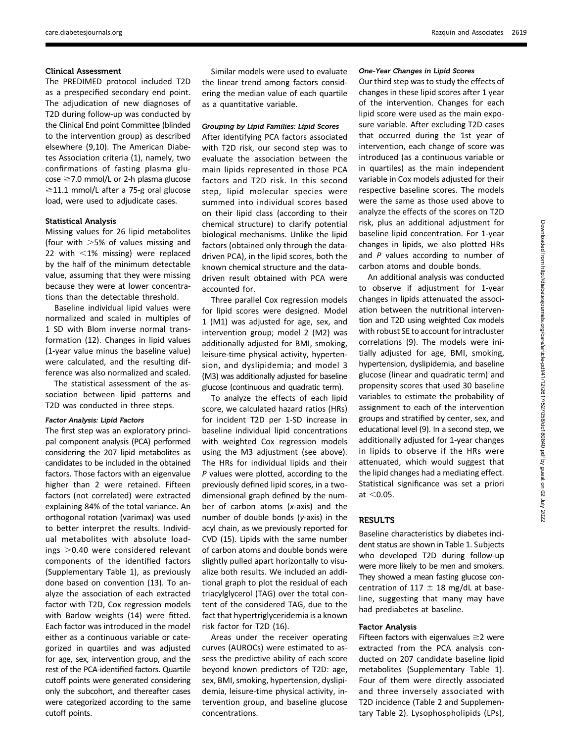#### Clinical Assessment

The PREDIMED protocol included T2D as a prespecified secondary end point. The adjudication of new diagnoses of T2D during follow-up was conducted by the Clinical End point Committee (blinded to the intervention group) as described elsewhere (9,10). The American Diabetes Association criteria (1), namely, two confirmations of fasting plasma glu- $\cos e \ge 7.0$  mmol/L or 2-h plasma glucose  $\geq$ 11.1 mmol/L after a 75-g oral glucose load, were used to adjudicate cases.

#### Statistical Analysis

Missing values for 26 lipid metabolites (four with  $>5%$  of values missing and 22 with  $<$ 1% missing) were replaced by the half of the minimum detectable value, assuming that they were missing because they were at lower concentrations than the detectable threshold.

Baseline individual lipid values were normalized and scaled in multiples of 1 SD with Blom inverse normal transformation (12). Changes in lipid values (1-year value minus the baseline value) were calculated, and the resulting difference was also normalized and scaled.

The statistical assessment of the association between lipid patterns and T2D was conducted in three steps.

#### Factor Analysis: Lipid Factors

The first step was an exploratory principal component analysis (PCA) performed considering the 207 lipid metabolites as candidates to be included in the obtained factors. Those factors with an eigenvalue higher than 2 were retained. Fifteen factors (not correlated) were extracted explaining 84% of the total variance. An orthogonal rotation (varimax) was used to better interpret the results. Individual metabolites with absolute load $ins > 0.40$  were considered relevant components of the identified factors ([Supplementary Table 1\)](http://care.diabetesjournals.org/lookup/suppl/doi:10.2337/dc18-0840/-/DC1), as previously done based on convention (13). To analyze the association of each extracted factor with T2D, Cox regression models with Barlow weights (14) were fitted. Each factor was introduced in the model either as a continuous variable or categorized in quartiles and was adjusted for age, sex, intervention group, and the rest of the PCA-identified factors. Quartile cutoff points were generated considering only the subcohort, and thereafter cases were categorized according to the same cutoff points.

Similar models were used to evaluate the linear trend among factors considering the median value of each quartile as a quantitative variable.

#### Grouping by Lipid Families: Lipid Scores

After identifying PCA factors associated with T2D risk, our second step was to evaluate the association between the main lipids represented in those PCA factors and T2D risk. In this second step, lipid molecular species were summed into individual scores based on their lipid class (according to their chemical structure) to clarify potential biological mechanisms. Unlike the lipid factors (obtained only through the datadriven PCA), in the lipid scores, both the known chemical structure and the datadriven result obtained with PCA were accounted for.

Three parallel Cox regression models for lipid scores were designed. Model 1 (M1) was adjusted for age, sex, and intervention group; model 2 (M2) was additionally adjusted for BMI, smoking, leisure-time physical activity, hypertension, and dyslipidemia; and model 3 (M3) was additionally adjusted for baseline glucose (continuous and quadratic term).

To analyze the effects of each lipid score, we calculated hazard ratios (HRs) for incident T2D per 1-SD increase in baseline individual lipid concentrations with weighted Cox regression models using the M3 adjustment (see above). The HRs for individual lipids and their P values were plotted, according to the previously defined lipid scores, in a twodimensional graph defined by the number of carbon atoms (x-axis) and the number of double bonds (y-axis) in the acyl chain, as we previously reported for CVD (15). Lipids with the same number of carbon atoms and double bonds were slightly pulled apart horizontally to visualize both results. We included an additional graph to plot the residual of each triacylglycerol (TAG) over the total content of the considered TAG, due to the fact that hypertriglyceridemia is a known risk factor for T2D (16).

Areas under the receiver operating curves (AUROCs) were estimated to assess the predictive ability of each score beyond known predictors of T2D: age, sex, BMI, smoking, hypertension, dyslipidemia, leisure-time physical activity, intervention group, and baseline glucose concentrations.

#### One-Year Changes in Lipid Scores

Our third step was to study the effects of changes in these lipid scores after 1 year of the intervention. Changes for each lipid score were used as the main exposure variable. After excluding T2D cases that occurred during the 1st year of intervention, each change of score was introduced (as a continuous variable or in quartiles) as the main independent variable in Cox models adjusted for their respective baseline scores. The models were the same as those used above to analyze the effects of the scores on T2D risk, plus an additional adjustment for baseline lipid concentration. For 1-year changes in lipids, we also plotted HRs and P values according to number of carbon atoms and double bonds.

An additional analysis was conducted to observe if adjustment for 1-year changes in lipids attenuated the association between the nutritional intervention and T2D using weighted Cox models with robust SE to account for intracluster correlations (9). The models were initially adjusted for age, BMI, smoking, hypertension, dyslipidemia, and baseline glucose (linear and quadratic term) and propensity scores that used 30 baseline variables to estimate the probability of assignment to each of the intervention groups and stratified by center, sex, and educational level (9). In a second step, we additionally adjusted for 1-year changes in lipids to observe if the HRs were attenuated, which would suggest that the lipid changes had a mediating effect. Statistical significance was set a priori at  $<$  0.05.

# **RESULTS**

Baseline characteristics by diabetes incident status are shown in Table 1. Subjects who developed T2D during follow-up were more likely to be men and smokers. They showed a mean fasting glucose concentration of 117  $\pm$  18 mg/dL at baseline, suggesting that many may have had prediabetes at baseline.

#### Factor Analysis

Fifteen factors with eigenvalues  $\geq$  were extracted from the PCA analysis conducted on 207 candidate baseline lipid metabolites [\(Supplementary Table 1\)](http://care.diabetesjournals.org/lookup/suppl/doi:10.2337/dc18-0840/-/DC1). Four of them were directly associated and three inversely associated with T2D incidence (Table 2 and [Supplemen](http://care.diabetesjournals.org/lookup/suppl/doi:10.2337/dc18-0840/-/DC1)[tary Table 2\)](http://care.diabetesjournals.org/lookup/suppl/doi:10.2337/dc18-0840/-/DC1). Lysophospholipids (LPs),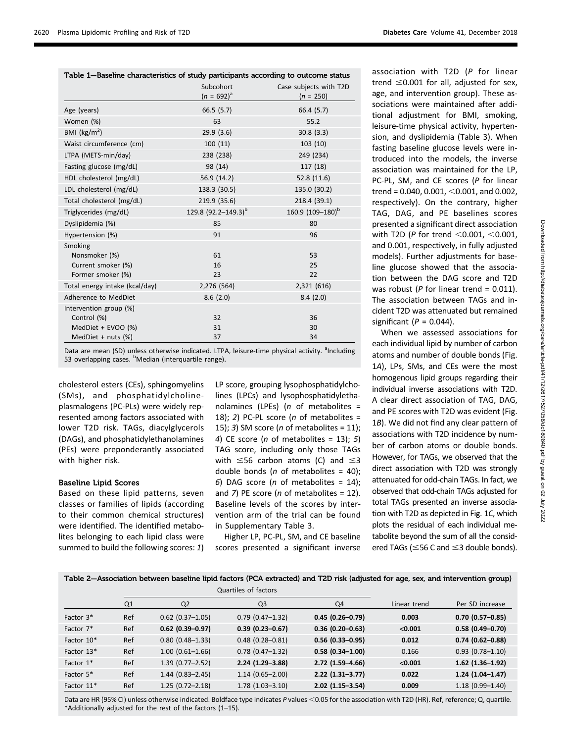|  |  |  |  | Diabetes Care Volume 41, December 2018 |  |
|--|--|--|--|----------------------------------------|--|
|--|--|--|--|----------------------------------------|--|

| Table 1-Baseline characteristics of study participants according to outcome status |                                 |                              |  |  |  |
|------------------------------------------------------------------------------------|---------------------------------|------------------------------|--|--|--|
|                                                                                    | Subcohort                       | Case subjects with T2D       |  |  |  |
|                                                                                    | $(n = 692)^{a}$                 | $(n = 250)$                  |  |  |  |
| Age (years)                                                                        | 66.5(5.7)                       | 66.4 (5.7)                   |  |  |  |
| Women (%)                                                                          | 63                              | 55.2                         |  |  |  |
| BMI ( $\text{kg/m}^2$ )                                                            | 29.9(3.6)                       | 30.8(3.3)                    |  |  |  |
| Waist circumference (cm)                                                           | 100(11)                         | 103(10)                      |  |  |  |
| LTPA (METS-min/day)                                                                | 238 (238)                       | 249 (234)                    |  |  |  |
| Fasting glucose (mg/dL)                                                            | 98 (14)                         | 117 (18)                     |  |  |  |
| HDL cholesterol (mg/dL)                                                            | 56.9 (14.2)                     | 52.8 (11.6)                  |  |  |  |
| LDL cholesterol (mg/dL)                                                            | 138.3 (30.5)                    | 135.0 (30.2)                 |  |  |  |
| Total cholesterol (mg/dL)                                                          | 219.9 (35.6)                    | 218.4 (39.1)                 |  |  |  |
| Triglycerides (mg/dL)                                                              | 129.8 (92.2-149.3) <sup>b</sup> | 160.9 (109-180) <sup>b</sup> |  |  |  |
| Dyslipidemia (%)                                                                   | 85                              | 80                           |  |  |  |
| Hypertension (%)                                                                   | 91                              | 96                           |  |  |  |
| Smoking                                                                            |                                 |                              |  |  |  |
| Nonsmoker (%)                                                                      | 61                              | 53                           |  |  |  |
| Current smoker (%)                                                                 | 16                              | 25                           |  |  |  |
| Former smoker (%)                                                                  | 23                              | 22                           |  |  |  |
| Total energy intake (kcal/day)                                                     | 2,276 (564)                     | 2,321 (616)                  |  |  |  |
| Adherence to MedDiet                                                               | 8.6(2.0)                        | 8.4(2.0)                     |  |  |  |
| Intervention group (%)                                                             |                                 |                              |  |  |  |
| Control (%)                                                                        | 32                              | 36                           |  |  |  |
| MedDiet + EVOO (%)                                                                 | 31                              | 30                           |  |  |  |
| MedDiet + nuts (%)                                                                 | 37                              | 34                           |  |  |  |

Data are mean (SD) unless otherwise indicated. LTPA, leisure-time physical activity. <sup>a</sup>Including 53 overlapping cases. <sup>b</sup>Median (interquartile range).

cholesterol esters (CEs), sphingomyelins (SMs), and phosphatidylcholineplasmalogens (PC-PLs) were widely represented among factors associated with lower T2D risk. TAGs, diacylglycerols (DAGs), and phosphatidylethanolamines (PEs) were preponderantly associated with higher risk.

### Baseline Lipid Scores

Based on these lipid patterns, seven classes or families of lipids (according to their common chemical structures) were identified. The identified metabolites belonging to each lipid class were summed to build the following scores: 1)

LP score, grouping lysophosphatidylcholines (LPCs) and lysophosphatidylethanolamines (LPEs) ( $n$  of metabolites = 18); 2) PC-PL score ( $n$  of metabolites = 15); 3) SM score (*n* of metabolites = 11); 4) CE score (*n* of metabolites = 13); 5) TAG score, including only those TAGs with  $\leq$ 56 carbon atoms (C) and  $\leq$ 3 double bonds ( $n$  of metabolites = 40); 6) DAG score (*n* of metabolites =  $14$ ); and 7) PE score (*n* of metabolites = 12). Baseline levels of the scores by intervention arm of the trial can be found in [Supplementary Table 3](http://care.diabetesjournals.org/lookup/suppl/doi:10.2337/dc18-0840/-/DC1).

Higher LP, PC-PL, SM, and CE baseline scores presented a significant inverse association with T2D (P for linear trend  $\leq$ 0.001 for all, adjusted for sex, age, and intervention group). These associations were maintained after additional adjustment for BMI, smoking, leisure-time physical activity, hypertension, and dyslipidemia (Table 3). When fasting baseline glucose levels were introduced into the models, the inverse association was maintained for the LP, PC-PL, SM, and CE scores (P for linear trend = 0.040, 0.001,  $<$  0.001, and 0.002, respectively). On the contrary, higher TAG, DAG, and PE baselines scores presented a significant direct association with T2D (P for trend  $<$  0.001,  $<$  0.001, and 0.001, respectively, in fully adjusted models). Further adjustments for baseline glucose showed that the association between the DAG score and T2D was robust ( $P$  for linear trend = 0.011). The association between TAGs and incident T2D was attenuated but remained significant ( $P = 0.044$ ).

When we assessed associations for each individual lipid by number of carbon atoms and number of double bonds (Fig. 1A), LPs, SMs, and CEs were the most homogenous lipid groups regarding their individual inverse associations with T2D. A clear direct association of TAG, DAG, and PE scores with T2D was evident (Fig. 1B). We did not find any clear pattern of associations with T2D incidence by number of carbon atoms or double bonds. However, for TAGs, we observed that the direct association with T2D was strongly attenuated for odd-chain TAGs. In fact, we observed that odd-chain TAGs adjusted for total TAGs presented an inverse association with T2D as depicted in Fig. 1C, which plots the residual of each individual metabolite beyond the sum of all the considered TAGs ( $\leq$ 56 C and  $\leq$ 3 double bonds).

Table 2—Association between baseline lipid factors (PCA extracted) and T2D risk (adjusted for age, sex, and intervention group)

|                        | Quartiles of factors |                     |                     |                     |              |                     |
|------------------------|----------------------|---------------------|---------------------|---------------------|--------------|---------------------|
|                        | Q1                   | Q <sub>2</sub>      | Q <sub>3</sub>      | Q4                  | Linear trend | Per SD increase     |
| Factor 3 <sup>*</sup>  | Ref                  | $0.62$ (0.37-1.05)  | $0.79(0.47 - 1.32)$ | $0.45(0.26 - 0.79)$ | 0.003        | $0.70(0.57 - 0.85)$ |
| Factor 7*              | Ref                  | $0.62$ (0.39-0.97)  | $0.39(0.23 - 0.67)$ | $0.36(0.20 - 0.63)$ | < 0.001      | $0.58(0.49 - 0.70)$ |
| Factor 10*             | Ref                  | $0.80(0.48 - 1.33)$ | $0.48(0.28 - 0.81)$ | $0.56(0.33 - 0.95)$ | 0.012        | $0.74(0.62 - 0.88)$ |
| Factor 13*             | Ref                  | $1.00(0.61 - 1.66)$ | $0.78$ (0.47-1.32)  | $0.58(0.34 - 1.00)$ | 0.166        | $0.93(0.78 - 1.10)$ |
| Factor $1*$            | Ref                  | $1.39(0.77 - 2.52)$ | $2.24(1.29-3.88)$   | $2.72(1.59 - 4.66)$ | < 0.001      | $1.62$ (1.36-1.92)  |
| Factor 5*              | Ref                  | $1.44(0.83 - 2.45)$ | $1.14(0.65 - 2.00)$ | $2.22(1.31-3.77)$   | 0.022        | $1.24(1.04-1.47)$   |
| Factor 11 <sup>*</sup> | Ref                  | $1.25(0.72 - 2.18)$ | $1.78(1.03 - 3.10)$ | $2.02(1.15 - 3.54)$ | 0.009        | $1.18(0.99 - 1.40)$ |

Data are HR (95% CI) unless otherwise indicated. Boldface type indicates P values <0.05 for the association with T2D (HR). Ref, reference; Q, quartile. \*Additionally adjusted for the rest of the factors (1–15).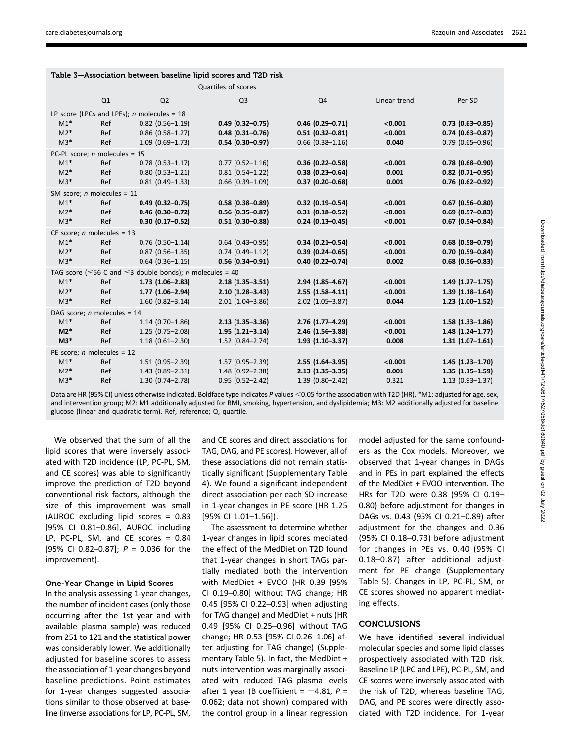|       |                                 | Quartiles of scores                                                         |                        |                        |              |                      |
|-------|---------------------------------|-----------------------------------------------------------------------------|------------------------|------------------------|--------------|----------------------|
|       | Q1                              | Q <sub>2</sub>                                                              | Q <sub>3</sub>         | Q4                     | Linear trend | Per SD               |
|       |                                 | LP score (LPCs and LPEs); $n$ molecules = 18                                |                        |                        |              |                      |
| $M1*$ | Ref                             | $0.82$ (0.56-1.19)                                                          | $0.49$ (0.32-0.75)     | $0.46$ (0.29-0.71)     | < 0.001      | $0.73$ (0.63-0.85)   |
| $M2*$ | Ref                             | $0.86$ (0.58-1.27)                                                          | $0.48(0.31 - 0.76)$    | $0.51(0.32 - 0.81)$    | < 0.001      | $0.74(0.63 - 0.87)$  |
| $M3*$ | Ref                             | $1.09(0.69 - 1.73)$                                                         | $0.54(0.30 - 0.97)$    | $0.66$ $(0.38 - 1.16)$ | 0.040        | $0.79$ (0.65-0.96)   |
|       | PC-PL score; $n$ molecules = 15 |                                                                             |                        |                        |              |                      |
| $M1*$ | Ref                             | $0.78(0.53 - 1.17)$                                                         | $0.77(0.52 - 1.16)$    | $0.36$ (0.22-0.58)     | < 0.001      | $0.78$ (0.68-0.90)   |
| $M2*$ | Ref                             | $0.80(0.53 - 1.21)$                                                         | $0.81(0.54 - 1.22)$    | $0.38(0.23 - 0.64)$    | 0.001        | $0.82$ (0.71-0.95)   |
| $M3*$ | Ref                             | $0.81(0.49 - 1.33)$                                                         | $0.66$ $(0.39 - 1.09)$ | $0.37(0.20 - 0.68)$    | 0.001        | $0.76$ (0.62-0.92)   |
|       | SM score; $n$ molecules = 11    |                                                                             |                        |                        |              |                      |
| $M1*$ | Ref                             | $0.49$ (0.32-0.75)                                                          | $0.58(0.38 - 0.89)$    | $0.32$ (0.19-0.54)     | < 0.001      | $0.67$ (0.56-0.80)   |
| $M2*$ | Ref                             | $0.46(0.30 - 0.72)$                                                         | $0.56$ (0.35-0.87)     | $0.31(0.18 - 0.52)$    | < 0.001      | $0.69$ (0.57-0.83)   |
| $M3*$ | Ref                             | $0.30$ (0.17-0.52)                                                          | $0.51(0.30 - 0.88)$    | $0.24$ (0.13-0.45)     | < 0.001      | $0.67$ (0.54-0.84)   |
|       | CE score; $n$ molecules = 13    |                                                                             |                        |                        |              |                      |
| $M1*$ | Ref                             | $0.76$ (0.50-1.14)                                                          | $0.64$ (0.43-0.95)     | $0.34(0.21 - 0.54)$    | < 0.001      | $0.68$ (0.58-0.79)   |
| $M2*$ | Ref                             | $0.87$ (0.56-1.35)                                                          | $0.74(0.49 - 1.12)$    | $0.39(0.24 - 0.65)$    | < 0.001      | $0.70$ (0.59-0.84)   |
| $M3*$ | Ref                             | $0.64$ (0.36-1.15)                                                          | $0.56(0.34 - 0.91)$    | $0.40(0.22 - 0.74)$    | 0.002        | $0.68$ (0.56-0.83)   |
|       |                                 | TAG score ( $\leq$ 56 C and $\leq$ 3 double bonds); <i>n</i> molecules = 40 |                        |                        |              |                      |
| $M1*$ | Ref                             | $1.73(1.06 - 2.83)$                                                         | $2.18(1.35 - 3.51)$    | $2.94(1.85 - 4.67)$    | < 0.001      | $1.49(1.27 - 1.75)$  |
| $M2*$ | Ref                             | $1.77(1.06 - 2.94)$                                                         | $2.10(1.28 - 3.43)$    | $2.55(1.58 - 4.11)$    | < 0.001      | $1.39(1.18 - 1.64)$  |
| $M3*$ | Ref                             | $1.60(0.82 - 3.14)$                                                         | $2.01(1.04 - 3.86)$    | $2.02$ (1.05-3.87)     | 0.044        | $1.23(1.00-1.52)$    |
|       | DAG score; $n$ molecules = 14   |                                                                             |                        |                        |              |                      |
| $M1*$ | Ref                             | $1.14(0.70 - 1.86)$                                                         | $2.13(1.35 - 3.36)$    | $2.76$ (1.77-4.29)     | < 0.001      | $1.58$ $(1.33-1.86)$ |
| $M2*$ | Ref                             | $1.25(0.75 - 2.08)$                                                         | $1.95(1.21 - 3.14)$    | 2.46 (1.56-3.88)       | < 0.001      | $1.48(1.24 - 1.77)$  |
| $M3*$ | Ref                             | $1.18(0.61 - 2.30)$                                                         | $1.52$ (0.84-2.74)     | $1.93(1.10-3.37)$      | 0.008        | $1.31(1.07 - 1.61)$  |
|       | PE score; $n$ molecules = 12    |                                                                             |                        |                        |              |                      |
| $M1*$ | Ref                             | $1.51(0.95 - 2.39)$                                                         | $1.57(0.95 - 2.39)$    | $2.55(1.64 - 3.95)$    | < 0.001      | $1.45(1.23 - 1.70)$  |
| $M2*$ | Ref                             | $1.43(0.89 - 2.31)$                                                         | 1.48 (0.92-2.38)       | $2.13(1.35 - 3.35)$    | 0.001        | $1.35(1.15 - 1.59)$  |
| $M3*$ | Ref                             | $1.30(0.74 - 2.78)$                                                         | $0.95(0.52 - 2.42)$    | $1.39(0.80 - 2.42)$    | 0.321        | $1.13(0.93 - 1.37)$  |

| Table 3-Association between baseline lipid scores and T2D risk |  |  |  |  |
|----------------------------------------------------------------|--|--|--|--|
|----------------------------------------------------------------|--|--|--|--|

Data are HR (95% CI) unless otherwise indicated. Boldface type indicates P values <0.05 for the association with T2D (HR). \*M1: adjusted for age, sex, and intervention group; M2: M1 additionally adjusted for BMI, smoking, hypertension, and dyslipidemia; M3: M2 additionally adjusted for baseline glucose (linear and quadratic term). Ref, reference; Q, quartile.

We observed that the sum of all the lipid scores that were inversely associated with T2D incidence (LP, PC-PL, SM, and CE scores) was able to significantly improve the prediction of T2D beyond conventional risk factors, although the size of this improvement was small (AUROC excluding lipid scores = 0.83 [95% CI 0.81–0.86], AUROC including LP, PC-PL, SM, and CE scores = 0.84 [95% CI 0.82-0.87];  $P = 0.036$  for the improvement).

#### One-Year Change in Lipid Scores

In the analysis assessing 1-year changes, the number of incident cases (only those occurring after the 1st year and with available plasma sample) was reduced from 251 to 121 and the statistical power was considerably lower. We additionally adjusted for baseline scores to assess the association of 1-year changes beyond baseline predictions. Point estimates for 1-year changes suggested associations similar to those observed at baseline (inverse associations for LP, PC-PL, SM,

and CE scores and direct associations for TAG, DAG, and PE scores). However, all of these associations did not remain statistically significant ([Supplementary Table](http://care.diabetesjournals.org/lookup/suppl/doi:10.2337/dc18-0840/-/DC1) [4](http://care.diabetesjournals.org/lookup/suppl/doi:10.2337/dc18-0840/-/DC1)). We found a significant independent direct association per each SD increase in 1-year changes in PE score (HR 1.25 [95% CI 1.01–1.56]).

The assessment to determine whether 1-year changes in lipid scores mediated the effect of the MedDiet on T2D found that 1-year changes in short TAGs partially mediated both the intervention with MedDiet + EVOO (HR 0.39 [95% CI 0.19–0.80] without TAG change; HR 0.45 [95% CI 0.22–0.93] when adjusting for TAG change) and MedDiet + nuts (HR 0.49 [95% CI 0.25–0.96] without TAG change; HR 0.53 [95% CI 0.26–1.06] after adjusting for TAG change) ([Supple](http://care.diabetesjournals.org/lookup/suppl/doi:10.2337/dc18-0840/-/DC1)[mentary Table 5](http://care.diabetesjournals.org/lookup/suppl/doi:10.2337/dc18-0840/-/DC1)). In fact, the MedDiet + nuts intervention was marginally associated with reduced TAG plasma levels after 1 year (B coefficient =  $-4.81$ , P = 0.062; data not shown) compared with the control group in a linear regression

model adjusted for the same confounders as the Cox models. Moreover, we observed that 1-year changes in DAGs and in PEs in part explained the effects of the MedDiet + EVOO intervention. The HRs for T2D were 0.38 (95% CI 0.19– 0.80) before adjustment for changes in DAGs vs. 0.43 (95% CI 0.21–0.89) after adjustment for the changes and 0.36 (95% CI 0.18–0.73) before adjustment for changes in PEs vs. 0.40 (95% CI 0.18–0.87) after additional adjustment for PE change ([Supplementary](http://care.diabetesjournals.org/lookup/suppl/doi:10.2337/dc18-0840/-/DC1) [Table 5\)](http://care.diabetesjournals.org/lookup/suppl/doi:10.2337/dc18-0840/-/DC1). Changes in LP, PC-PL, SM, or CE scores showed no apparent mediating effects.

# CONCLUSIONS

We have identified several individual molecular species and some lipid classes prospectively associated with T2D risk. Baseline LP (LPC and LPE), PC-PL, SM, and CE scores were inversely associated with the risk of T2D, whereas baseline TAG, DAG, and PE scores were directly associated with T2D incidence. For 1-year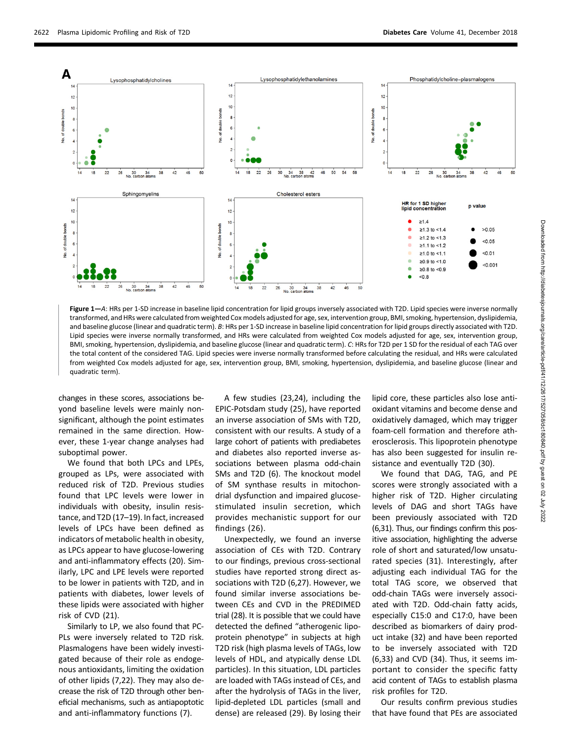

Figure 1-A: HRs per 1-SD increase in baseline lipid concentration for lipid groups inversely associated with T2D. Lipid species were inverse normally transformed, and HRs were calculated from weighted Cox models adjusted for age, sex, intervention group, BMI, smoking, hypertension, dyslipidemia, and baseline glucose (linear and quadratic term). B: HRs per 1-SD increase in baseline lipid concentration for lipid groups directly associated with T2D. Lipid species were inverse normally transformed, and HRs were calculated from weighted Cox models adjusted for age, sex, intervention group, BMI, smoking, hypertension, dyslipidemia, and baseline glucose (linear and quadratic term). C: HRs for T2D per 1 SD for the residual of each TAG over the total content of the considered TAG. Lipid species were inverse normally transformed before calculating the residual, and HRs were calculated from weighted Cox models adjusted for age, sex, intervention group, BMI, smoking, hypertension, dyslipidemia, and baseline glucose (linear and quadratic term).

changes in these scores, associations beyond baseline levels were mainly nonsignificant, although the point estimates remained in the same direction. However, these 1-year change analyses had suboptimal power.

We found that both LPCs and LPEs, grouped as LPs, were associated with reduced risk of T2D. Previous studies found that LPC levels were lower in individuals with obesity, insulin resistance, and T2D (17–19). In fact, increased levels of LPCs have been defined as indicators of metabolic health in obesity, as LPCs appear to have glucose-lowering and anti-inflammatory effects (20). Similarly, LPC and LPE levels were reported to be lower in patients with T2D, and in patients with diabetes, lower levels of these lipids were associated with higher risk of CVD (21).

Similarly to LP, we also found that PC-PLs were inversely related to T2D risk. Plasmalogens have been widely investigated because of their role as endogenous antioxidants, limiting the oxidation of other lipids (7,22). They may also decrease the risk of T2D through other beneficial mechanisms, such as antiapoptotic and anti-inflammatory functions (7).

A few studies (23,24), including the EPIC-Potsdam study (25), have reported an inverse association of SMs with T2D, consistent with our results. A study of a large cohort of patients with prediabetes and diabetes also reported inverse associations between plasma odd-chain SMs and T2D (6). The knockout model of SM synthase results in mitochondrial dysfunction and impaired glucosestimulated insulin secretion, which provides mechanistic support for our findings (26).

Unexpectedly, we found an inverse association of CEs with T2D. Contrary to our findings, previous cross-sectional studies have reported strong direct associations with T2D (6,27). However, we found similar inverse associations between CEs and CVD in the PREDIMED trial (28). It is possible that we could have detected the defined "atherogenic lipoprotein phenotype" in subjects at high T2D risk (high plasma levels of TAGs, low levels of HDL, and atypically dense LDL particles). In this situation, LDL particles are loaded with TAGs instead of CEs, and after the hydrolysis of TAGs in the liver, lipid-depleted LDL particles (small and dense) are released (29). By losing their lipid core, these particles also lose antioxidant vitamins and become dense and oxidatively damaged, which may trigger foam-cell formation and therefore atherosclerosis. This lipoprotein phenotype has also been suggested for insulin resistance and eventually T2D (30).

We found that DAG, TAG, and PE scores were strongly associated with a higher risk of T2D. Higher circulating levels of DAG and short TAGs have been previously associated with T2D (6,31). Thus, our findings confirm this positive association, highlighting the adverse role of short and saturated/low unsaturated species (31). Interestingly, after adjusting each individual TAG for the total TAG score, we observed that odd-chain TAGs were inversely associated with T2D. Odd-chain fatty acids, especially C15:0 and C17:0, have been described as biomarkers of dairy product intake (32) and have been reported to be inversely associated with T2D (6,33) and CVD (34). Thus, it seems important to consider the specific fatty acid content of TAGs to establish plasma risk profiles for T2D.

Our results confirm previous studies that have found that PEs are associated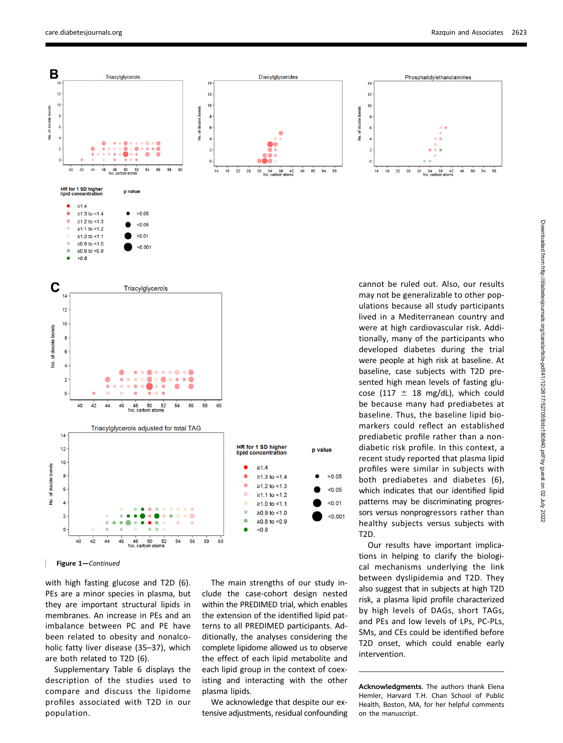$50$  $54$  $58$ 



Figure 1—Continued

with high fasting glucose and T2D (6). PEs are a minor species in plasma, but they are important structural lipids in membranes. An increase in PEs and an imbalance between PC and PE have been related to obesity and nonalcoholic fatty liver disease (35–37), which are both related to T2D (6).

[Supplementary Table 6](http://care.diabetesjournals.org/lookup/suppl/doi:10.2337/dc18-0840/-/DC1) displays the description of the studies used to compare and discuss the lipidome profiles associated with T2D in our population.

The main strengths of our study include the case-cohort design nested within the PREDIMED trial, which enables the extension of the identified lipid patterns to all PREDIMED participants. Additionally, the analyses considering the complete lipidome allowed us to observe the effect of each lipid metabolite and each lipid group in the context of coexisting and interacting with the other plasma lipids.

We acknowledge that despite our extensive adjustments, residual confounding may not be generalizable to other populations because all study participants lived in a Mediterranean country and were at high cardiovascular risk. Additionally, many of the participants who developed diabetes during the trial were people at high risk at baseline. At baseline, case subjects with T2D presented high mean levels of fasting glucose (117  $\pm$  18 mg/dL), which could be because many had prediabetes at baseline. Thus, the baseline lipid biomarkers could reflect an established prediabetic profile rather than a nondiabetic risk profile. In this context, a recent study reported that plasma lipid profiles were similar in subjects with both prediabetes and diabetes (6), which indicates that our identified lipid patterns may be discriminating progressors versus nonprogressors rather than healthy subjects versus subjects with

Our results have important implications in helping to clarify the biological mechanisms underlying the link between dyslipidemia and T2D. They also suggest that in subjects at high T2D risk, a plasma lipid profile characterized by high levels of DAGs, short TAGs, and PEs and low levels of LPs, PC-PLs, SMs, and CEs could be identified before T2D onset, which could enable early intervention.

Acknowledgments. The authors thank Elena Hemler, Harvard T.H. Chan School of Public Health, Boston, MA, for her helpful comments on the manuscript.